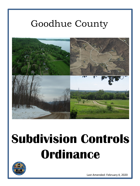### Goodhue County



# **Subdivision Controls Ordinance**



Last Amended: February 4, 2020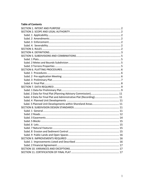#### **Table of Contents**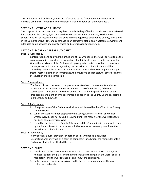This Ordinance shall be known, cited and referred to as the "Goodhue County Subdivision Controls Ordinance", when referred to herein it shall be known as "this Ordinance".

#### <span id="page-2-0"></span>**SECTION 1. INTENT AND PURPOSE**

The purpose of this Ordinance is to regulate the subdividing of land in Goodhue County, referred hereinafter as the County, lying outside the incorporated limits of any City, so that new subdivisions will be integrated with the development objectives of Goodhue County, as outlined in the Comprehensive Plan, and contribute to an attractive, stable and wholesome environment, adequate public services and an integrated and safe transportation system.

#### <span id="page-2-1"></span>**SECTION 2. SCOPE AND LEGAL AUTHORITY**

#### <span id="page-2-2"></span>Subd. 1 Applicability

In interpreting and applying the provisions of this Ordinance, they shall be held to be the minimum requirements for the promotion of public health, safety, and general welfare. Where the provisions of this Ordinance impose greater restrictions than those of any statute, other ordinance or regulation, the provisions of this Ordinance shall be controlling. Where the provisions of any statute, other ordinance or regulation impose greater restrictions than this Ordinance, the provisions of each statute, other ordinance, or regulation shall be controlling.

#### <span id="page-2-3"></span>Subd. 2 Amendments

The County Board may amend the procedures, standards, requirements and other provisions of this Ordinance upon recommendation of the Planning Advisory Commission. The Planning Advisory Commission shall hold a public hearing on the proposed amendment prior to recommending action to the County Board as specified in MS 394.26 and 394.30.

#### <span id="page-2-4"></span>Subd. 3 Enforcement

- A. The provisions of this Ordinance shall be administered by the office of the Zoning Administrator.
- B. When any work has been stopped by the Zoning Administrator for any reason whatsoever, it shall not again be resumed until the reason for the work stoppage has been completely removed.
- C. It shall be the duty of the County Attorney and the County Sheriff, when called upon by the County Board to perform such duties as may be necessary to enforce the provisions of this Ordinance.

#### <span id="page-2-5"></span>Subd. 4. Severability

If any section, clause, provision, or portion of this Ordinance is adjudged unconstitutional or invalid by a court of competent jurisdiction, the remainder of this Ordinance shall not be affected thereby.

#### <span id="page-2-6"></span>**SECTION 3. RULES**

- A. Words used in the present tense include the past and future tense; the singular number includes the plural and the plural includes the singular; the word "shall" is mandatory, and the words "should" and "may" are permissive.
- B. In the event of conflicting provisions in the text of these regulations, the more restrictive shall apply.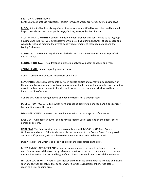#### <span id="page-3-0"></span>**SECTION 4. DEFINITIONS**

For the purpose of these regulations, certain terms and words are hereby defined as follows:

BLOCK: A tract of land consisting of one of more lots, as identified by a number, and bounded by plat boundaries, dedicated public ways, Outlots, parks, or bodies of water.

CLUSTER DEVELOPMENT: A subdivision development planned and constructed so as to group housing units into relatively tight patterns while providing a unified network of open space and wooded areas, and meeting the overall density requirements of these regulations and the Zoning Ordinance.

CONTOUR: A line connecting all points of which are at the same elevation above a specified datum surface.

CONTOUR INTERVAL: The difference in elevation between adjacent contours on a map.

CONTOUR MAP: A map depicting contour lines.

COPY: A print or reproduction made from an original.

COVENANTS: Contracts entered into between private parties and constituting a restriction on the use of all private property within a subdivision for the benefit of the property owners, and to provide mutual protection against undesirable aspects of development which would tend to impair stability of values.

CUL-DE-SAC: A road having but one end open to traffic; not a through road.

DOUBLE FRONTAGE LOTS: Lots which have a front line abutting on one road and a back or rear line abutting on another road.

DRAINAGE COURSE : A water course or indenture for the drainage or surface water.

EASEMENT: A grant by an owner of land for the specific use of said land by the public, or to a person or persons.

FINAL PLAT: The final drawing, which is in compliance with MS 505 or 515B and County Ordinances and rules, of the Subdivider's plan as presented to the County Board for approval and which, if approved, will be submitted to the County Recorder to be recorded.

LOT: A tract of land which is all or part of a block and is identified on the plat.

METES AND BOUNDS DESCRIPTION: A description of a parcel of land by references to course and distances around the tract or by reference to natural or record monuments; most common method is to recite direction and length of each line as one would walk around the perimeter.

NATURAL WATERWAY: A natural passageway on the surface of the earth so situated and having such a topographical nature that surface water flows through it from other areas before reaching a final ponding area.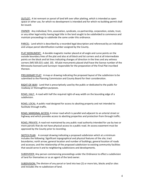OUTLOT: A lot remnant or parcel of land left over after platting, which is intended as open space or other use, for which no development is intended and for which no building permit shall be issued.

OWNER: Any individual, firm, association, syndicate, co-partnership, corporation, estate, trust, or any other legal entity having legal title in the land sought to be subdivided to commence and maintain proceedings to subdivide the same under this ordinance.

PARCEL: Land which is described by a recorded legal description and referenced by an individual and unique parcel identification number assigned by the County.

PLAT MONUMENT: A durable magnetic marker placed at all angle and curve points on the outside boundary lines of the plat and also at all block and lot corners and at all intermediate points on the block and lot lines indicating changes of direction in the lines and any witness corners (MS 505.021 subd. 10). All plat monuments placed shall have the license number of the Minnesota licensed Land Surveyor responsible for the preparation of the Final Plat inscribed thereon.

PRELIMINARY PLAT: A map or drawing indicating the proposed layout of the subdivision to be submitted to the Planning Commission and County Board for their consideration.

RIGHT-OF-WAY: Land that is prescriptively used by the public or dedicated to the public for roadway or thoroughfare purposes.

ROAD, HALF: A road with half the required right-of-way width on the bounding edge of a subdivision.

ROAD, LOCAL: A public road designed for access to abutting property and not intended to facilitate through traffic.

ROAD, MARGINAL ACCESS: A minor road which is parallel and adjacent to an arterial street or highway and which provides access to abutting properties and protection from through traffic.

ROAD, PRIVATE: A road not maintained by any public road authority intended for use by two or more parcels that do not have physical access to a public road. An access easement must be approved by the County prior to recording.

SKETCH PLAN: A concept drawing indicating a proposed subdivision which at a minimum includes the following: Significant topographical and physical features of the site; tract boundaries; north arrow; general location and number of buildings; general location of roads and accesses; and the relationship of the proposed subdivision to existing community facilities that would serve it and to neighboring subdivisions and developments.

SUBDIVIDER: Any person commencing proceedings under the Ordinance to effect a subdivision of land for themselves or as an agent of the land owner.

SUBDIVISION: The division of any parcel or land into two (2) or more lots, blocks and/or sites and includes the re-subdivision of land.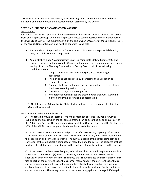TAX PARCEL: Land which is described by a recorded legal description and referenced by an individual and unique parcel identification number assigned by the County

#### <span id="page-5-0"></span>**SECTION 5. SUBDIVISIONS AND COMBINATIONS**

#### <span id="page-5-1"></span>Subd. 1 Plats

A Minnesota Statute Chapter 505 plat **is required:** For the creation of three or more tax parcels from one tax parcel except when the tax parcels created can be described by an aliquot part of the Public Land Survey. The minimum division shall be a Quarter Quarter of the Section (i.e. SE ¼ of the NW ¼). Non-contiguous land must be separate tax parcels.

- A. If a subdivision of a platted lot or Outlot can result in one or more potential dwelling sites, the subdivision must be platted.
- B. Administrative plats. An Administrative plat is a Minnesota Statute Chapter 505 plat which is reviewed and approved by County staff and does not require approval or public hearings from the Planning Commission or County Board if all of the following conditions are met:
	- 1. The plat depicts parcels whose purpose is to simplify legal descriptions;
	- 2. The plat does not dedicate any interests to the public such as easements or roads;
	- 3. The parcels shown on the plat provide for road access for each new division or reconfiguration of land;
	- 4. There is no change of zone requested;
	- 5. No additional building sites are created other than what would be allowed under the existing zoning designation;

C. All plats, except Administrative Plats, shall be subject to the requirements of Section 6 (General Procedures).

#### <span id="page-5-2"></span>Subd. 2 Metes and Bounds Subdivision

A. The creation of two tax parcels from one or more tax parcel(s) requires a survey as outlined below except when the tax parcels created can be described by an aliquot part of the Public Land Survey. The minimum division shall be a Quarter, Quarter of the Section (i.e. SE ¼ of the NW ¼). Non-contiguous land must be separate tax parcels.

B. If the parcel is not within a recorded plat a Certificate of Survey depicting information listed in Section 7, subdivision 1 (B) items 1 through 6, items 8, 11, and 12 shall accompany the subdivision and conveyance of land. The survey must be of the parcel being split and conveyed. If the split parcel is composed of more than one tax parcel, the acreages of those portions of each tax parcel contributing to the split parcel must be indicated on the survey.

C. If the parcel is within a recorded plat, a Certificate of Survey depicting information listed in Section 7, subdivision 1 (B) items 1 through 6, items 8 and 11 shall accompany the subdivision and conveyance of land. The survey shall show distance and direction reference ties to each of the pertinent Lot or Block corner monuments. If the pertinent Lot or Block corner monuments do not exist, sufficient mathematical information shall be shown to enable reference of the parcel description to the plat or to the pertinent Public Land Survey corner monuments. The survey must be of the parcel being split and conveyed. If the split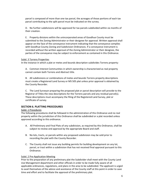parcel is composed of more than one tax parcel, the acreages of those portions of each tax parcel contributing to the split parcel must be indicated on the survey.

D. No further subdivisions will be approved for tax parcels subdivided within six months of their creation.

E. Property divisions within the unincorporated areas of Goodhue County must be submitted to the Zoning Administrator or their designee for approval. Written approval shall appear on the face of the conveyance instrument indicating that the conveyance complies with Goodhue County Zoning and Subdivision Ordinances. If a conveyance instrument is recorded without the written approval of the Zoning Administrator or their designee, the parties of the conveyance may be subject to enforcement as contained in this Ordinance.

#### <span id="page-6-0"></span>Subd. 3 Torrens Properties

In the instance in which a plat or metes and bounds description subdivides Torrens property:

A. Common Interest Communities in which ownership is characterized as real property cannot contain both Torrens and Abstract title.

B. All subdivisions or combinations of metes and bounds Torrens property descriptions must create a Registered Land Survey or MS 505 plat unless prior approval is obtained by the County Recorder.

C. The Land Surveyor preparing the proposed plat or parcel description will provide to the Registrar of Titles the new descriptions for the Torrens parcels and any residual parcel(s). These descriptions must accompany the filing of the Registered Land Survey, plat or certificate of survey.

#### <span id="page-6-1"></span>**SECTION 6. PLATTING PROCEDURES**

#### <span id="page-6-2"></span>Subd. 1 Procedures

The following procedures shall be followed in the administration of this Ordinance and no real property within the jurisdiction of this Ordinance shall be subdivided or a plat recorded unless approved according to this ordinance.

- A. All Preliminary and Final Plats of any subdivision, as required by this Ordinance, shall be subject to review and approval by the appropriate Board and staff.
- B. No lots, tracts, or parcels within any proposed subdivision may be sold prior to recording the plat with the County Recorder.
- C. The County shall not issue any building permits for building development on any lot, parcel, or tract within a subdivision that has not received final approval pursuant to this Ordinance.

#### <span id="page-6-3"></span>Subd. 2 Pre-Application Meeting

Prior to the preparation of any preliminary plat the Subdivider shall meet with the County Land Use Management department and other officials in order to be made fully aware of all applicable ordinances, regulations, and plans in the area to be subdivided. The applicant is urged to avail themselves of the advice and assistance of the County staff at this point in order to save time and effort and to facilitate the approval of the preliminary plat.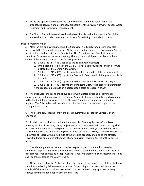- A. At the pre-application meeting the Subdivider shall submit a Sketch Plan of the proposed subdivision and preliminary proposals for the provision of water supply, waste treatment and storm water management.
- B. The Sketch Plan will be considered as the basis for discussion between the Subdivider and staff. A Sketch Plan does not constitute a formal filing of a Preliminary Plat.

#### <span id="page-7-0"></span>Subd. 3 Preliminary Plat

A. After the pre-application meeting, the Subdivider shall apply for a preliminary plat permit with the Zoning Administrator. At the time of submission of the Preliminary Plat, the required fees shall be paid by the Subdivider. The Preliminary and Final Plat may be submitted for review at the same meeting. The applicant shall be responsible to submit copies of the Preliminary Plat to the following entities:

- 1. 3 full sized (24" x 36") copies to the Zoning Administrator;
- 2. One digital file (legible at the 11" x 17" print size) provided to, and in a format dictated by, the Zoning Administrator;
- 3. 1 full sized (24" x 36") copy to any city within two miles of the proposed plat;
- 4. 1 full sized (24" x 36") copy to the Township Board in which the proposed plat is located;
- 5. 1 full sized (24" x 36") copy to the Soil and Water Conservation District; and
- 6. 1 full sized (24" x 36") copy to the Minnesota Dept. of Transportation (District 6) if the proposed plat abuts or is adjacent to a state or federal highway

B. The Subdivider shall send the above copies with a letter directing all comments concerning the preliminary plat to the Zoning Administrator, and submitting such comments to the Zoning Administrator prior to the Planning Commission hearing regarding the request. The Subdivider shall provide proof of submittal of the required copies to the Zoning Administrator.

C. The Preliminary Plat shall show the data requirements as listed in Section 7 of this ordinance.

D. A public hearing shall be conducted at a specified Planning Advisory Commission meeting. Notice of the time, place, subject matter and purpose of said public hearing shall be published in the official newspaper of the County at least 10 days before the hearing. Written notice of said public hearing shall also be sent at least 10 days before the hearing to all owners of record within a half mile of the affected property and also to the affected Township Board and municipal Council of any municipality within 2 miles of the affected property.

E. The Planning Advisory Commission shall express its recommended approval or conditional approval and state the conditions of such recommended approval, if any; or if disapproved, shall express its disapproval and its reasons therefore. Such recommendations shall be transmitted to the County Board.

F. At the time of filing the Preliminary Plat, the owner of the parcel to be platted shall also submit to the Zoning Administrator a petition for rezoning to the proposed future use of said land if the land is not already so zoned. The County Board may approve a zoning change contingent upon approval of the Final Plat.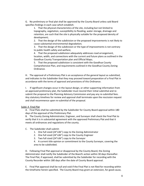G. No preliminary or final plat shall be approved by the County Board unless said Board specifies findings in each case which establish:

1. That the physical characteristics of the site, including but not limited to topography, vegetation, susceptibility to flooding, water storage, drainage and retention, are such that the site is physically suitable for the proposed density of development;

2. That the design of the subdivision or the proposed improvements is not likely to cause substantial environmental degradation;

3. That the design of the subdivision or the type of improvements is not contrary to public health safety and welfare;

4. That the proposed subdivision adequately addresses road arrangement, location, width, and connections with the current and future plans as outlined in the Goodhue County Transportation plan and Official Maps;

5. That the proposed subdivision is consistent with the Goodhue County Comprehensive Plan, and requirements outlined in the Goodhue County Zoning Ordinance.

H. The approval of a Preliminary Plat is an acceptance of the general layout as submitted, and indicates to the Subdivider that they may proceed toward preparation of a Final Plat in accordance with the terms of approval and provisions of this Ordinance.

I. If significant changes occur in the layout design, or other supporting information from an approved preliminary plat, the Subdivider must rescind their initial submittal and resubmit the proposal to the Planning Advisory Commission and pay any re-submittal fees. Any statutory timelines for review and approval shall terminate upon the rescission request and shall recommence upon re-submittal of the proposal.

#### <span id="page-8-0"></span>Subd. 4 Final Plat

A. Final Plats shall be submitted by the Subdivider for County Board approval within 180 days of the approval of the Preliminary Plat.

B. The County Zoning Administrator, Engineer, and Surveyor shall check the Final Plat to verify that it is in substantial agreement with the approved Preliminary Plat and that it meets all ordinances and regulations of the county.

#### C. The Subdivider shall submit:

- 1. One full sized (24"x36") copy to the Zoning Administrator
- 2. One full sized (24"x36") copy to the County Engineer
- 3. Two full sized (24"x36") copy to the Surveyor

4. A current title opinion or commitment to the County Surveyor, covering the area to be subdivided.

D. Following Final Plat approval or disapproval by the County Board, the Zoning Administrator shall notify the Subdivider of the Board's action within 30 days thereafter. The Final Plat, if approved, shall be submitted by the Subdivider for recording with the County Recorder within 180 days after the date of County Board approval.

E. Final Plat approval shall be null and void if the Final Plat is not filed for recording within the timeframe herein specified. The County Board may grant an extension, for good cause,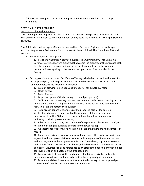if the extension request is in writing and presented for decision before the 180 days terminates.

#### <span id="page-9-0"></span>**SECTION 7. DATA REQUIRED**

<span id="page-9-1"></span>Subd. 1 Data for Preliminary Plat

This section pertains to proposed plats in which the County is the platting authority; or a plat that adjoins or is adjacent to any County Road, County State Aid Highway, or Municipal State Aid Highway.

The Subdivider shall engage a Minnesota Licensed Land Surveyor, Engineer, or Landscape Architect to prepare a Preliminary Plat of the area to be subdivided. The Preliminary Plat shall contain:

A. Identification and Description

1. Proof of ownership: A copy of a current Title Commitment, Title Opinion, or Certificate of Title (Torrens property) that covers the property of the proposed plat. 2. The name of the proposed plat, which shall not duplicate or be similar in pronunciation or spelling to the name of any plat heretofore recorded in the County.

- B. Existing conditions: A current Certificate of Survey, which shall be used as the basis for the proposed plat, shall be prepared and executed by a Minnesota Licensed Land Surveyor, depicting the following information:
	- 1. Scale of drawing; 1 inch equals 100 feet or 1 inch equals 200 feet;
	- 2. North arrow;
	- 3. Date of Survey;
	- 4. Legal description of the boundary of the subject parcel(s);

5. Sufficient boundary survey data and mathematical information (bearings to the nearest one second of a degree and dimensions to the nearest one hundredth of a foot) to locate and retrace the boundary;

6. Total area in square feet or acres of the proposed plat (or tax parcel);

7. Existing site improvements within the proposed plat and any existing improvements within 10 feet of the proposed plat boundary, or a notation indicating no site improvements exist;

8. All encroachments along the boundary of the proposed plat (or tax parcel), or a notation indicating no evidence of encroachment was found;

9. All easements of record, or a notation indicating the there are no easements of record;

10. Ponds, lakes, rivers, streams, creeks, wet lands, and other waterways within or adjacent to the proposed plat, or a notation indicating none of these features are within or adjacent to the proposed subdivision. The ordinary high water elevation and 1% AEP (Annual Exceedance Probability) flood elevations shall be shown where applicable. Elevations shall be referenced to an established bench mark with a mean sea level elevation and noted on the proposed plat;

11. Location, right of way widths, and names of public and private roads, other public ways, or railroads within or adjacent to the proposed plat boundary;

12. Distance and direction reference ties from the boundary of the proposed plat to a minimum of 2 Public Land Survey corner monuments.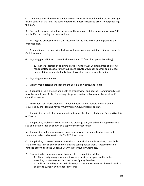C. The names and addresses of the fee owner, Contract for Deed purchasers, or any agent having control of the land; the Subdivider; the Minnesota Licensed professional preparing the plan.

D. Two foot contours extending throughout the proposed plat location and within a 100 foot buffer surrounding the proposed plat.

E. Existing and proposed zoning classifications for the land within and adjacent to the proposed plat.

F. A tabulation of the approximated square footage/acreage and dimensions of each lot, Outlot, or park.

G. Adjoining parcel information to include (within 100 feet of proposed boundary):

1. General location of adjoining parcels; right of way widths; names of existing roads, platted roads, or other public and private ways; parks; other public lands; public utility easements; Public Land Survey lines; and corporate limits.

H. Adjoining owners' names.

I. Vicinity map depicting and labeling the Section, Township, and Range

J. If applicable, soils analysis and depth to groundwater and bedrock from finished grade must be established. A plan for solving site ground water problems may be required if conditions warrant.

K. Any other such information that is deemed necessary for review and as may be requested by the Planning Advisory Commission, County Board, or staff.

L. If applicable, layout of proposed roads indicating the items listed under Section 8 of this ordinance.

M. If applicable, preliminary road grades and drainage plan, including drainage structure size and location shall be shown on a copy of the contour map.

N. If applicable, a drainage plan and flood control which includes structure size and location based upon hydraulics of a 1% AEP flood event.

O. If applicable, source of water. Connection to municipal water is required, if available. Wells with less than 15 service connections and serving fewer than 25 people must be installed according to the Goodhue County Water Quality Ordinance.

P. Connection to municipal sewage treatment is required, if available. 1. Community sewage treatment systems must be designed and installed according to Minnesota Pollution Control Agency Standards. 2. All lots served by an individual sewage treatment system must be evaluated and be able to support two standard systems.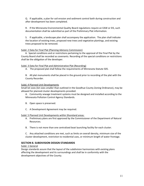Q. If applicable, a plan for soil erosion and sediment control both during construction and after development has been completed.

R. If the Minnesota Environmental Quality Board regulations require an EAW or EIS, such documentation shall be submitted as part of the Preliminary Plat information.

S. If applicable, a landscape plan shall accompany the application. The plan shall indicate the location of existing trees, proposed new trees and vegetative plantings, and existing trees proposed to be removed.

#### Subd. 2 Data for Final Plat (Planning Advisory Commission)

 A. Special conditions and or restrictions pertaining to the approval of the Final Plat by the County Board shall be recorded as covenants. Recording of the special conditions or restrictions shall be the obligation of the developer.

#### Subd. 3 Data for Final Plat and Administrative Plat (Recording)

- A. The proposed plat shall follow the requirements of Minnesota Statute 505.
- B. All plat monuments shall be placed in the ground prior to recording of the plat with the County Recorder.

#### <span id="page-11-0"></span>Subd. 4 Planned Unit Developments

Small lot sizes (lot sizes smaller than outlined in the Goodhue County Zoning Ordinance), may be allowed for planned cluster developments provided:

A. Community sewage treatment systems must be designed and installed according to the Minnesota Pollution Control Agency Standards.

- B. Open space is preserved.
- C. A Development Agreement may be required.

#### Subd. 5 Planned Unit Developments within Shoreland areas:

- A. Preliminary plans are first approved by the Commissioner of the Department of Natural Resources.
- B. There is not more than one centralized boat launching facility for each cluster.

C. Any attached conditions are met, such as limits on overall density, minimum size of the cluster development, restriction to residential uses, or minimum length of water frontage.

#### <span id="page-11-1"></span>**SECTION 8. SUBDIVISION DESIGN STANDARDS**

#### <span id="page-11-2"></span>Subd. 1 General

Design standards assure that the layout of the subdivision harmonizes with existing plans affecting the development and its surroundings and shall be in conformity with the development objectives of the County.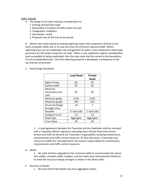#### <span id="page-12-0"></span>Subd. 2 Roads

- A. The design of all roads shall give consideration to:
	- 1. Existing and planned roads
	- 2. Reasonable circulation of traffic within the plat
	- 3. Topographic conditions
	- 4. Stormwater runoff
	- 5. Proposed uses of the area to be served

B. Where new roads extend to existing adjoining roads, their projections shall be at the same or greater width, but in no case less than the minimum required width. Where adjoining areas are not subdivided, the arrangement of roads in new subdivisions shall make provisions for the proper projection of roads. When a new subdivision adjoins unsubdivided land susceptible to being subdivided, then the new roads shall be carried to the boundaries of such unsubdivided land. Until the adjoining property is developed, a temporary cul-desac shall be constructed.

C. Road Design Standards:

|                          | <b>Local Road</b> | <b>Private</b> |
|--------------------------|-------------------|----------------|
|                          |                   | Road           |
| Rights of way            | 66′               | 33'            |
| Surface width            | 24'               | 18'            |
| Minimum                  |                   |                |
| horizontal curve         | 50'               | 50'            |
| radii                    |                   |                |
| Minimum grade            | 0.5%              | 0.5%           |
| Maximum grade            | 10%               | 12%            |
| <b>Structural Design</b> | 10                | 7              |
| Strength (Ton)           |                   |                |
| Shoulder                 | 3' each side      | 1' each side   |
| Inslope (V to H)         | 1:3               | 1:3            |
| Road Type                | Aggregate         | Aggregate      |
| <b>Cross Slope</b>       | 2%                | 2%             |

1. A road agreement between the Township and the Subdivider shall be recorded with a Township official's signature indicating that a Private Road shall remain private and shall not become the Township's responsibility including maintenance, improvements and traffic control measures. At their discretion, a Township may choose to modify the road agreement and assume responsibility for maintenance, improvements and traffic control measures.

D. Width:

1. All roads shall be subgraded to the minimum width to accommodate the above lane widths, shoulder width, inslopes, and the road's base and pavement thickness to meet the structural design strength as shown in the above table.

#### E. Structure of Roads:

1. All Local and Private Roads may have aggregate surface.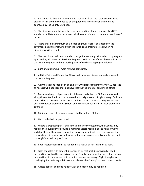2. Private roads that are contemplated that differ from the listed structure and ditches in this ordinance need to be designed by a Professional Engineer and approved by the County Engineer.

3. The developer shall design the pavement sections for all roads per MNDOT standards. All bituminous pavements shall have a minimum bituminous section of 3 inches.

4. There shall be a minimum of 6 inches of gravel (class 4 or 5 based on the pavement design) constructed with the initial road grading project when no bituminous will be used.

5. The road base shall be at standard design immediately prior to blacktopping and approved by a licensed Professional Engineer. Written proof must be submitted to the County Engineer within 5 working days of the blacktopping completion.

6. Curb and gutter shall meet MNDOT standards.

7. All Bike Paths and Pedestrian Ways shall be subject to review and approval by the County Engineer.

8. All intersections shall be at an angle of 90 degrees (but may vary by 10 degrees as necessary). Road jogs shall not have less than 150 feet of center line offset.

9. Maximum length of permanent cul-de-sac roads shall be 500 feet measured along the center line from the intersection of origin to end of right of-way. Each culde-sac shall be provided at the closed end with a turn-around having a minimum outside roadway diameter of 80 feet and a minimum road right-of-way diameter of 100 feet.

10. Minimum tangent between curves shall be at least 50 feet.

11. Half roads shall be prohibited.

12. Where a proposed plat is adjacent to a major thoroughfare, the County may require the developer to provide a marginal access road along the right-of-way of such facilities or they may require that lots are aligned with the rear towards the thoroughfare, in which case vehicular and pedestrian access between the lots and thoroughfare shall be prohibited.

13. Road intersections shall be rounded at a radius of not less than 20 feet.

14. Sight triangles with tangent distances of 30 feet shall be provided at road intersections within the subdivision or the County may permit property lines at road intersections to be rounded with a radius deemed necessary. Sight triangles for roads tying into existing public roads shall meet the County's access control criteria.

15. Access control and road right of way dedication may be required.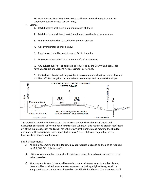16. New intersections tying into existing roads must meet the requirements of Goodhue County's Access Control Policy.

- F. Ditches:
	- 1. Ditch bottoms shall have a minimum width of 4 feet.
	- 2. Ditch bottoms shall be at least 2 feet lower than the shoulder elevation.
	- 3. Drainage ditches shall be sodded to prevent erosion.
	- 4. All culverts installed shall be new.
	- 5. Road culverts shall be a minimum of 24" in diameter.
	- 6. Driveway culverts shall be a minimum of 18" in diameter.

7. Any culvert over 48", or at locations requested by the County Engineer, shall have a hydraulic analysis and risk assessment performed.

8. Centerline culverts shall be provided to accommodate all natural water flow and shall be sufficient length to permit full-width roadways and required side slopes.



The preceding sketch is to be used as a typical cross section through embankment and excavation sections for all normal road construction. Wherever side roads and branch roads lead off of the main road, such roads shall have the crown of the branch road meeting the shoulder elevation of the main road. Side slopes shall retain a 1:3 or a 1:4 slope depending on the functional classification of the road.

#### Subd. 3 Easements

- <span id="page-14-0"></span>A. All public easements shall be dedicated by appropriate language on the plat as required by M.S. 505.021, Subdivision 7.
- B. Utilities easements shall connect with existing easements in adjoining properties to the extent possible.
- C. Where a subdivision is traversed by a water course, drainage way, channel or stream, there shall be provided a storm water easement or drainage right-of-way, as will be adequate for storm water runoff based on the 1% AEP flood event. The easement shall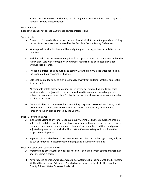include not only the stream channel, but also adjoining areas that have been subject to flooding in years of heavy runoff.

#### <span id="page-15-0"></span>Subd. 4 Blocks

Road lengths shall not exceed 1,200 feet between intersections.

#### <span id="page-15-1"></span>Subd. 5 Lots

- A. Corner lots for residential use shall have additional width to permit appropriate building setback from both roads as required by the Goodhue County Zoning Ordinance.
- B. Where possible, side lot lines shall be at right angles to straight lines or radial to curved road lines.
- C. Each lot shall have the minimum required frontage on a public or private road within the subdivision. Lots with frontage on two parallel roads shall be permitted only under unusual circumstances.
- D. The lot dimensions shall be such as to comply with the minimum lot areas specified in the Goodhue County Zoning Ordinance.
- E. Lots shall be graded so as to provide drainage away from building locations and septic drainage fields.
- F. All remnants of lots below minimum size left over after subdividing of a larger tract must be added to adjacent lots rather than allowed to remain as unusable parcels unless the owner can show plans for the future use of such remnants wherein they shall be platted as Outlots.
- G. Outlots shall be set aside solely for non-building purposes. No Goodhue County Land Use Permits shall be issued for structures on Outlots. Outlots may be eliminated through re-subdivision approved by the County.

#### <span id="page-15-2"></span>Subd. 6 Natural Features

- A. In the subdividing of any land, Goodhue County Zoning Ordinance regulations shall be adhered to and due regard shall be shown for all natural features, such as tree growth, wetlands, steep slopes, water courses, historic sites, or similar conditions, and plans adjusted to preserve those which will add attractiveness, safety and stability to the proposed development.
- B. In general, it is preferable to have trees, other than diseased or damaged trees, only to be cut or removed to accommodate building sites, driveways or utilities.

#### <span id="page-15-3"></span>Subd. 7 Erosion and Sediment Control

- A. Wetlands and other water bodies shall not be utilized as a primary source of hydrologic and/or sediment traps.
- B. Any proposed alteration, filling, or creating of wetlands shall comply with the Minnesota Wetland Conservation Act Rule 8420, which is administered locally by the Goodhue County Soil and Water Conservation District.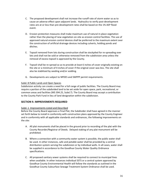- C. The proposed development shall not increase the runoff rate of storm water so as to cause an adverse effect upon adjacent lands. Hydraulics to verify post-development rates are at or less than pre-development rates shall be based on the 1% AEP flood event.
- D. Erosion protection measures shall make maximum use of natural in-place vegetation rather than the placing of new vegetation on-site as erosion control facilities. The use of approved natural erosion control devices shall be preferred to the maximum extent over the construction of artificial drainage devices including culverts, holding ponds and ditches.
- E. Topsoil removed from lots during construction shall be stockpiled for re-spreading over lots and shall not be sold or otherwise removed from the subdivision area unless the removal of excess topsoil is approved by the County.
- F. Topsoil shall be re-spread so as to provide at least 6 inches of cover originally existing on the site or a minimum of 4 inches of cover if the original cover was less. The site shall also be stabilized by seeding and/or sodding.
- G. Developments are subject to NPDES and SWPPP permit requirements.

#### <span id="page-16-0"></span>Subd. 8 Public Lands and Open Spaces

Subdivision activity can create a need for a full range of public facilities. The County Board may require a portion of the subdivided land to be set aside for open space, park, recreational, or common areas and facilities (MS 394.25, Subd.7). The County Board may accept a contribution to the County Park Fund in lieu of land designation within the subdivision.

#### <span id="page-16-1"></span>**SECTION 9. IMPROVEMENTS REQUIRED**

#### <span id="page-16-2"></span>Subd. 1 Improvements Listed and Described

Before the County Board approves a Final Plat, the Subdivider shall have agreed in the manner set forth below to install in conformity with construction plans approved by the County Engineer and in conformity with all applicable standards and ordinances, the following improvements on the site:

- A. All plat monuments shall be placed in the ground prior to recording of the plat with the County Recorder/Registrar of Deeds. Delayed staking of any plat monument will be prohibited.
- B. Where a connection with a community water system is possible, the public water shall be used. In other instances, safe and potable water shall be provided by a central distribution system serving the subdivision or by individual wells. In all cases, water shall be supplied in accordance to the Goodhue County Water Quality Ordinance specifications.
- C. All proposed sanitary sewer systems shall be required to connect to municipal lines when available. In other instances individual SSTS or a central system approved by Goodhue County Environmental Health will follow the standards as outlined in the Goodhue County Subsurface Sewage Treatment System Ordinance shall be used.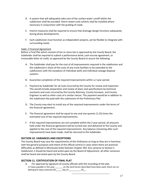- D. A system that will adequately take care of the surface water runoff within the subdivision shall be provided. Storm sewers and culverts shall be installed where necessary in conjunction with the grading of roads.
- E. Interim measures shall be required to ensure that drainage design functions adequately during phase developments.
- F. Each subdivision must function as independent projects, yet be flexible to integrate with surrounding needs.

#### <span id="page-17-0"></span>Subd. 2 Financial Agreement

Before a Final Plat which consists of ten or more lots is approved by the County Board, the Subdivider shall be required to submit a performance bond, cash escrow agreement, or irrevocable letter of credit, as approved by the County Board to assure the following:

- A. The Subdivider shall pay for the cost of all improvements required in the subdivision and the subdivision's share of the costs of any trunk facilities to be extended to the subdivisions with the exception of individual wells and individual sewage disposal systems.
- B. Guarantee completion of the required improvements within a 2 year period.
- C. Payment by Subdivider for all costs incurred by the County for review and inspection. This would include preparation and review of plans and specifications by technical assistants and costs incurred by the County Attorney, County Surveyor, and County Engineer as well as other costs of a similar nature. This payment would be in addition to the subdivision fee paid with the submission of the Preliminary Plat.
- D. The County may elect to install any of the required improvements under the terms of the financial agreement.
- E. The financial agreement shall be equal to one and one-quarter *(1.25)* times the estimated cost of the required improvements.
- F. If the required improvements are not complete within the 2 year period, all amounts held under the financial agreement will be turned over and delivered to the County and applied to the cost of the required improvements. Any balance remaining after such improvements have been made, shall be returned to the Subdivider.

#### <span id="page-17-1"></span>**SECTION 10. VARIANCES AND EXCEPTIONS**

The County Board may vary the requirements of this Ordinance so long as they are in harmony with the general purposes and intent of the official control in cases when there are practical difficulties as defined in Minnesota State Statutes Chapter 394. Any variance to Section 5 Subdivision 2 should be heard and acted upon by the Board of Adjustment, all other variances shall be heard and acted upon by the County Board.

#### <span id="page-17-2"></span>**SECTION 11. CERTIFICATION OF FINAL PLAT**

A. For approval by signature of county officials with the recording of the plat. 1) Taxes payable in the year\_\_\_\_\_\_\_ on the land herein described have been paid, there are no delinquent taxes entered this \_\_\_\_\_ day of \_\_\_\_\_\_\_\_\_, 20\_.

\_\_\_\_\_\_\_\_\_\_\_\_\_\_\_\_\_\_\_\_\_\_\_\_\_\_\_\_\_\_\_\_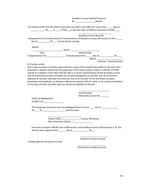Goodhue County Auditor/Treasurer By: \_\_\_\_\_\_\_\_\_\_\_\_\_\_\_\_\_\_\_\_\_Deputy

2) I hereby certify that the within instrument was filed in this office for record this \_\_\_\_\_\_day of Lat \_\_\_\_\_\_\_\_\_, 20 \_\_\_\_\_ at \_\_\_\_\_\_ o'clock \_\_m and was duly recorded as document number \_\_\_\_\_.

\_\_\_\_\_\_\_\_\_\_\_\_\_\_\_\_\_\_\_\_\_\_\_\_\_\_\_\_ Goodhue County Recorder 3) Approved by the County Board of Commissioners of Goodhue County, Minnesota, at their \_\_\_\_ day of\_\_\_\_\_\_\_\_\_\_, 20\_\_\_\_ County Board meeting.

Signed:

|                    | Attest:                       |
|--------------------|-------------------------------|
| Chair              | Administrator                 |
| 4) Approved by the | Township Board this<br>dav of |
|                    | Signed:                       |
|                    | Chairman, Township Board      |

#### 5) I hereby certify:

that I have surveyed or directly supervised the survey of the property described on this plat; that I prepared or directly supervised the preparation of this plat as *(name of plat in CAPITAL LETTERSexactly as it appears in the title);* that this plat is a correct representation of the boundary survey; that all mathematical data and labels are correctly designated on the plat; that all monuments depicted on the plat have been correctly set; that as of the date of this certificate, all water boundaries and wetlands, as defined in Minnesota Statutes 505.01, Subd. 3, are shown and labeled on the plat; and that all public ways are shown and labeled on the plat.

> \_\_\_\_\_\_\_\_\_\_\_\_\_\_\_\_\_\_\_\_\_\_\_\_\_\_ Land Surveyor Minnesota License No. \_\_\_\_\_\_\_

STATE OF MINNESOTA COUNTY OF\_\_\_\_\_\_\_\_\_\_\_\_\_\_\_\_\_

The foregoing instrument was acknowledged before me this \_\_\_\_ day of \_\_\_\_\_\_\_\_\_\_\_ 20\_\_\_\_, by \_\_\_\_\_\_\_\_\_\_\_\_\_\_\_\_\_\_\_ Land Surveyor.

 Notary Public \_\_\_\_\_\_\_\_\_\_\_\_\_\_\_\_ County, Minnesota My Commission Expires \_\_\_\_\_\_

> Pursuant to Chapter 389.09, laws of Minnesota, and Goodhue County Ordinance No.2-78, this plat has been approved this \_\_\_\_\_\_ day of \_\_\_\_\_\_\_\_\_\_\_\_\_, 20\_\_\_.

I hereby approve this plat as to form.

 $\overline{\phantom{a}}$  ,  $\overline{\phantom{a}}$  ,  $\overline{\phantom{a}}$  ,  $\overline{\phantom{a}}$  ,  $\overline{\phantom{a}}$  ,  $\overline{\phantom{a}}$  ,  $\overline{\phantom{a}}$  ,  $\overline{\phantom{a}}$  ,  $\overline{\phantom{a}}$  ,  $\overline{\phantom{a}}$  ,  $\overline{\phantom{a}}$  ,  $\overline{\phantom{a}}$  ,  $\overline{\phantom{a}}$  ,  $\overline{\phantom{a}}$  ,  $\overline{\phantom{a}}$  ,  $\overline{\phantom{a}}$ 

\_\_\_\_\_\_\_\_\_\_\_\_\_\_\_\_\_\_\_\_\_\_\_ Goodhue County Surveyor

\_\_\_\_\_\_\_\_\_\_\_\_\_\_\_\_\_\_\_\_\_\_\_\_ Attorney for Goodhue County